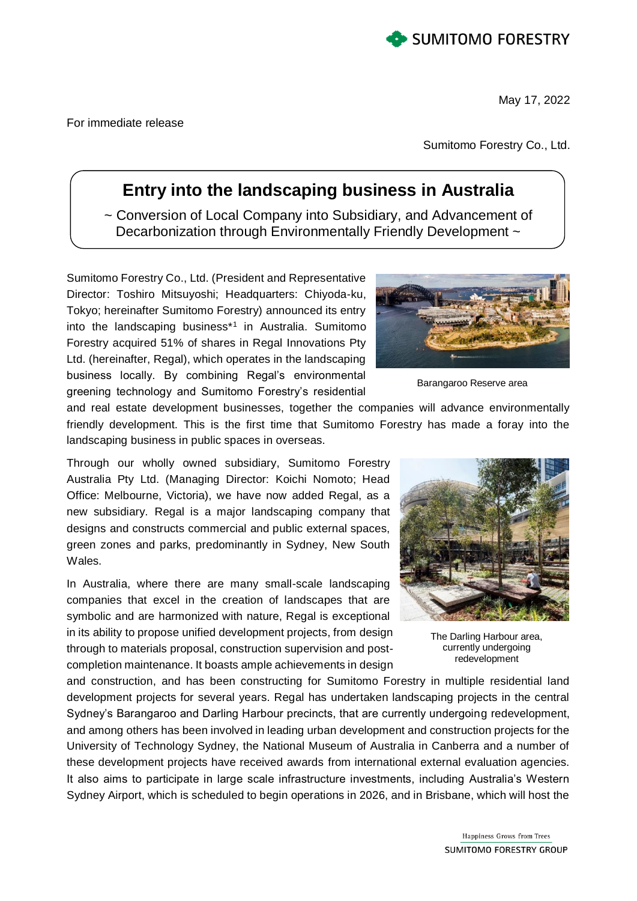

May 17, 2022

For immediate release

Sumitomo Forestry Co., Ltd.

## **Entry into the landscaping business in Australia**

~ Conversion of Local Company into Subsidiary, and Advancement of Decarbonization through Environmentally Friendly Development ~

Sumitomo Forestry Co., Ltd. (President and Representative Director: Toshiro Mitsuyoshi; Headquarters: Chiyoda-ku, Tokyo; hereinafter Sumitomo Forestry) announced its entry into the landscaping business\*<sup>1</sup> in Australia. Sumitomo Forestry acquired 51% of shares in Regal Innovations Pty Ltd. (hereinafter, Regal), which operates in the landscaping business locally. By combining Regal's environmental greening technology and Sumitomo Forestry's residential



Barangaroo Reserve area

and real estate development businesses, together the companies will advance environmentally friendly development. This is the first time that Sumitomo Forestry has made a foray into the landscaping business in public spaces in overseas.

Through our wholly owned subsidiary, Sumitomo Forestry Australia Pty Ltd. (Managing Director: Koichi Nomoto; Head Office: Melbourne, Victoria), we have now added Regal, as a new subsidiary. Regal is a major landscaping company that designs and constructs commercial and public external spaces, green zones and parks, predominantly in Sydney, New South Wales.

In Australia, where there are many small-scale landscaping companies that excel in the creation of landscapes that are symbolic and are harmonized with nature, Regal is exceptional in its ability to propose unified development projects, from design through to materials proposal, construction supervision and postcompletion maintenance. It boasts ample achievements in design

and construction, and has been constructing for Sumitomo Forestry in multiple residential land development projects for several years. Regal has undertaken landscaping projects in the central Sydney's Barangaroo and Darling Harbour precincts, that are currently undergoing redevelopment, and among others has been involved in leading urban development and construction projects for the University of Technology Sydney, the National Museum of Australia in Canberra and a number of these development projects have received awards from international external evaluation agencies. It also aims to participate in large scale infrastructure investments, including Australia's Western Sydney Airport, which is scheduled to begin operations in 2026, and in Brisbane, which will host the



The Darling Harbour area, currently undergoing redevelopment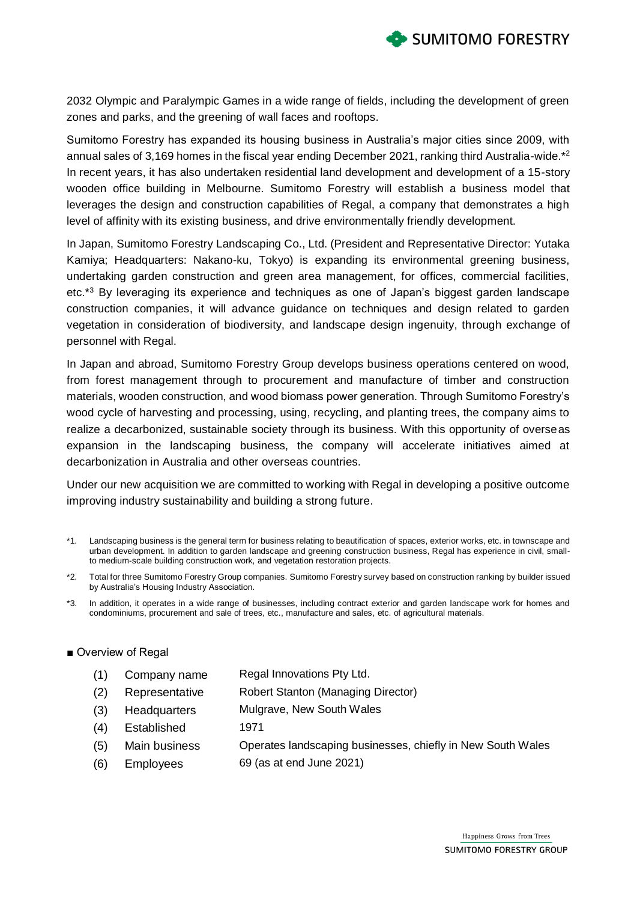

2032 Olympic and Paralympic Games in a wide range of fields, including the development of green zones and parks, and the greening of wall faces and rooftops.

Sumitomo Forestry has expanded its housing business in Australia's major cities since 2009, with annual sales of 3,169 homes in the fiscal year ending December 2021, ranking third Australia-wide.\*<sup>2</sup> In recent years, it has also undertaken residential land development and development of a 15-story wooden office building in Melbourne. Sumitomo Forestry will establish a business model that leverages the design and construction capabilities of Regal, a company that demonstrates a high level of affinity with its existing business, and drive environmentally friendly development.

In Japan, Sumitomo Forestry Landscaping Co., Ltd. (President and Representative Director: Yutaka Kamiya; Headquarters: Nakano-ku, Tokyo) is expanding its environmental greening business, undertaking garden construction and green area management, for offices, commercial facilities, etc.<sup>\*3</sup> By leveraging its experience and techniques as one of Japan's biggest garden landscape construction companies, it will advance guidance on techniques and design related to garden vegetation in consideration of biodiversity, and landscape design ingenuity, through exchange of personnel with Regal.

In Japan and abroad, Sumitomo Forestry Group develops business operations centered on wood, from forest management through to procurement and manufacture of timber and construction materials, wooden construction, and wood biomass power generation. Through Sumitomo Forestry's wood cycle of harvesting and processing, using, recycling, and planting trees, the company aims to realize a decarbonized, sustainable society through its business. With this opportunity of overseas expansion in the landscaping business, the company will accelerate initiatives aimed at decarbonization in Australia and other overseas countries.

Under our new acquisition we are committed to working with Regal in developing a positive outcome improving industry sustainability and building a strong future.

- \*1. Landscaping business is the general term for business relating to beautification of spaces, exterior works, etc. in townscape and urban development. In addition to garden landscape and greening construction business, Regal has experience in civil, smallto medium-scale building construction work, and vegetation restoration projects.
- \*2. Total for three Sumitomo Forestry Group companies. Sumitomo Forestry survey based on construction ranking by builder issued by Australia's Housing Industry Association.
- \*3. In addition, it operates in a wide range of businesses, including contract exterior and garden landscape work for homes and condominiums, procurement and sale of trees, etc., manufacture and sales, etc. of agricultural materials.

## ■ Overview of Regal

| (1) | Company name        | Regal Innovations Pty Ltd.                                  |
|-----|---------------------|-------------------------------------------------------------|
| (2) | Representative      | <b>Robert Stanton (Managing Director)</b>                   |
| (3) | <b>Headquarters</b> | Mulgrave, New South Wales                                   |
| (4) | Established         | 1971                                                        |
| (5) | Main business       | Operates landscaping businesses, chiefly in New South Wales |
| (6) | <b>Employees</b>    | 69 (as at end June 2021)                                    |